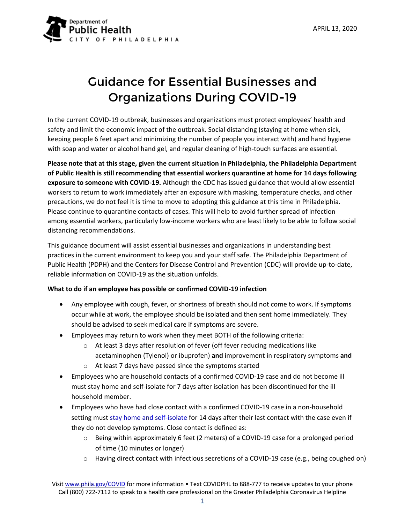

# Guidance for Essential Businesses and Organizations During COVID-19

In the current COVID-19 outbreak, businesses and organizations must protect employees' health and safety and limit the economic impact of the outbreak. Social distancing (staying at home when sick, keeping people 6 feet apart and minimizing the number of people you interact with) and hand hygiene with soap and water or alcohol hand gel, and regular cleaning of high-touch surfaces are essential.

**Please note that at this stage, given the current situation in Philadelphia, the Philadelphia Department of Public Health is still recommending that essential workers quarantine at home for 14 days following exposure to someone with COVID-19.** Although the CDC has issued guidance that would allow essential workers to return to work immediately after an exposure with masking, temperature checks, and other precautions, we do not feel it is time to move to adopting this guidance at this time in Philadelphia. Please continue to quarantine contacts of cases. This will help to avoid further spread of infection among essential workers, particularly low-income workers who are least likely to be able to follow social distancing recommendations.

This guidance document will assist essential businesses and organizations in understanding best practices in the current environment to keep you and your staff safe. The Philadelphia Department of Public Health (PDPH) and the Centers for Disease Control and Prevention (CDC) will provide up-to-date, reliable information on COVID-19 as the situation unfolds.

## **What to do if an employee has possible or confirmed COVID-19 infection**

- Any employee with cough, fever, or shortness of breath should not come to work. If symptoms occur while at work, the employee should be isolated and then sent home immediately. They should be advised to seek medical care if symptoms are severe.
- Employees may return to work when they meet BOTH of the following criteria:
	- o At least 3 days after resolution of fever (off fever reducing medications like acetaminophen (Tylenol) or ibuprofen) **and** improvement in respiratory symptoms **and**
	- o At least 7 days have passed since the symptoms started
- Employees who are household contacts of a confirmed COVID-19 case and do not become ill must stay home and self-isolate for 7 days after isolation has been discontinued for the ill household member.
- Employees who have had close contact with a confirmed COVID-19 case in a non-household setting must [stay home and self-isolate](https://www.phila.gov/media/20200313095812/Home-care-instructions-for-COVID-19-coronavirus_3_13_20.pdf) for 14 days after their last contact with the case even if they do not develop symptoms. Close contact is defined as:
	- o Being within approximately 6 feet (2 meters) of a COVID-19 case for a prolonged period of time (10 minutes or longer)
	- o Having direct contact with infectious secretions of a COVID-19 case (e.g., being coughed on)

Visi[t www.phila.gov/COVID](http://www.phila.gov/COVID) for more information • Text COVIDPHL to [888-777](tel:+888-777) to receive updates to your phone Cal[l \(800\) 722-7112](tel:8007227112) to speak to a health care professional on the Greater Philadelphia Coronavirus Helpline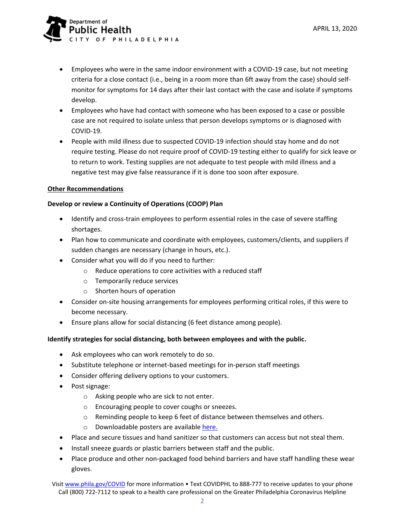

- Employees who were in the same indoor environment with a COVID-19 case, but not meeting criteria for a close contact (i.e., being in a room more than 6ft away from the case) should selfmonitor for symptoms for 14 days after their last contact with the case and isolate if symptoms develop.
- Employees who have had contact with someone who has been exposed to a case or possible case are not required to isolate unless that person develops symptoms or is diagnosed with COVID-19.
- People with mild illness due to suspected COVID-19 infection should stay home and do not require testing. Please do not require proof of COVID-19 testing either to qualify for sick leave or to return to work. Testing supplies are not adequate to test people with mild illness and a negative test may give false reassurance if it is done too soon after exposure.

## **Other Recommendations**

## **Develop or review a Continuity of Operations (COOP) Plan**

- Identify and cross-train employees to perform essential roles in the case of severe staffing shortages.
- Plan how to communicate and coordinate with employees, customers/clients, and suppliers if sudden changes are necessary (change in hours, etc.).
- Consider what you will do if you need to further:
	- o Reduce operations to core activities with a reduced staff
	- o Temporarily reduce services
	- o Shorten hours of operation
- Consider on-site housing arrangements for employees performing critical roles, if this were to become necessary.
- Ensure plans allow for social distancing (6 feet distance among people).

## **Identify strategies for social distancing, both between employees and with the public.**

- Ask employees who can work remotely to do so.
- Substitute telephone or internet-based meetings for in-person staff meetings
- Consider offering delivery options to your customers.
- Post signage:
	- o Asking people who are sick to not enter.
	- o Encouraging people to cover coughs or sneezes.
	- o Reminding people to keep 6 feet of distance between themselves and others.
	- o Downloadable posters are available [here.](https://www.phila.gov/programs/coronavirus-disease-2019-covid-19/multi-language-resources/covid-19-coronavirus-resources-in-english/#social-distancing-posters)
- Place and secure tissues and hand sanitizer so that customers can access but not steal them.
- Install sneeze guards or plastic barriers between staff and the public.
- Place produce and other non-packaged food behind barriers and have staff handling these wear gloves.

Visi[t www.phila.gov/COVID](http://www.phila.gov/COVID) for more information • Text COVIDPHL to [888-777](tel:+888-777) to receive updates to your phone Cal[l \(800\) 722-7112](tel:8007227112) to speak to a health care professional on the Greater Philadelphia Coronavirus Helpline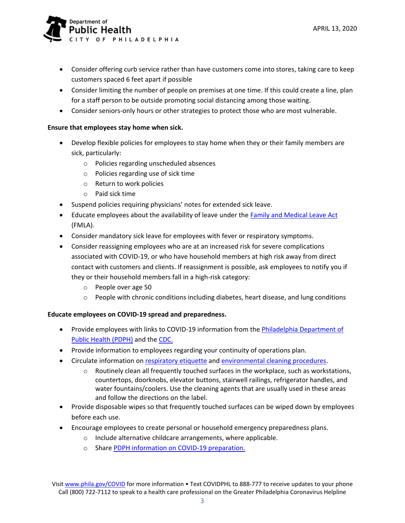

- Consider offering curb service rather than have customers come into stores, taking care to keep customers spaced 6 feet apart if possible
- Consider limiting the number of people on premises at one time. If this could create a line, plan for a staff person to be outside promoting social distancing among those waiting.
- Consider seniors-only hours or other strategies to protect those who are most vulnerable.

## **Ensure that employees stay home when sick.**

- Develop flexible policies for employees to stay home when they or their family members are sick, particularly:
	- o Policies regarding unscheduled absences
	- o Policies regarding use of sick time
	- o Return to work policies
	- o Paid sick time
- Suspend policies requiring physicians' notes for extended sick leave.
- Educate employees about the availability of leave under the [Family and Medical Leave Act](https://www.dol.gov/agencies/whd/fmla/pandemic) (FMLA).
- Consider mandatory sick leave for employees with fever or respiratory symptoms.
- Consider reassigning employees who are at an increased risk for severe complications associated with COVID-19, or who have household members at high risk away from direct contact with customers and clients. If reassignment is possible, ask employees to notify you if they or their household members fall in a high-risk category:
	- o People over age 50
	- $\circ$  People with chronic conditions including diabetes, heart disease, and lung conditions

## **Educate employees on COVID-19 spread and preparedness.**

- Provide employees with links to COVID-19 information from the Philadelphia Department of [Public Health \(PDPH\)](https://www.phila.gov/programs/coronavirus-disease-2019-covid-19/) and the [CDC.](https://www.cdc.gov/coronavirus/2019-ncov/)
- Provide information to employees regarding your continuity of operations plan.
- Circulate information on [respiratory etiquette](https://www.cdc.gov/healthywater/hygiene/etiquette/coughing_sneezing.html) and [environmental cleaning procedures.](https://www.phila.gov/media/20200315113203/PDPH-COVID-19-Facilities-Cleaning-Guidance.pdf)
	- o Routinely clean all frequently touched surfaces in the workplace, such as workstations, countertops, doorknobs, elevator buttons, stairwell railings, refrigerator handles, and water fountains/coolers. Use the cleaning agents that are usually used in these areas and follow the directions on the label.
- Provide disposable wipes so that frequently touched surfaces can be wiped down by employees before each use.
- Encourage employees to create personal or household emergency preparedness plans.
	- o Include alternative childcare arrangements, where applicable.
	- o Share [PDPH information on COVID-19 preparation.](https://www.phila.gov/services/mental-physical-health/environmental-health-hazards/covid-19/what-you-can-do/)

Visi[t www.phila.gov/COVID](http://www.phila.gov/COVID) for more information • Text COVIDPHL to [888-777](tel:+888-777) to receive updates to your phone Cal[l \(800\) 722-7112](tel:8007227112) to speak to a health care professional on the Greater Philadelphia Coronavirus Helpline